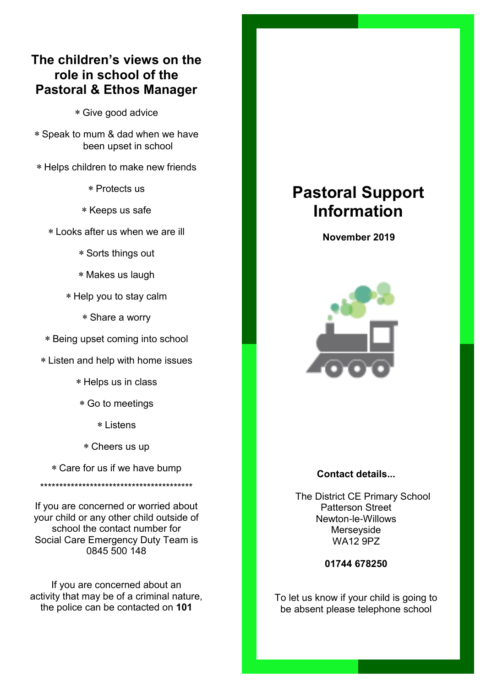## **The children's views on the role in school of the Pastoral & Ethos Manager**

Give good advice

 Speak to mum & dad when we have been upset in school

Helps children to make new friends

Protects us

\* Keeps us safe

Looks after us when we are ill

Sorts things out

Makes us laugh

Help you to stay calm

Share a worry

Being upset coming into school

Listen and help with home issues

Helps us in class

Go to meetings

Listens

Cheers us up

Care for us if we have bump

\*\*\*\*\*\*\*\*\*\*\*\*\*\*\*\*\*\*\*\*\*\*\*\*\*\*\*\*\*\*\*\*\*\*\*\*\*\*\*\*

If you are concerned or worried about your child or any other child outside of school the contact number for Social Care Emergency Duty Team is 0845 500 148

If you are concerned about an activity that may be of a criminal nature, the police can be contacted on **101**

# **Pastoral Support Information**

 **November 2019**



#### **Contact details...**

 The District CE Primary School Patterson Street Newton-le-Willows Merseyside WA12 9PZ

**01744 678250**

To let us know if your child is going to be absent please telephone school